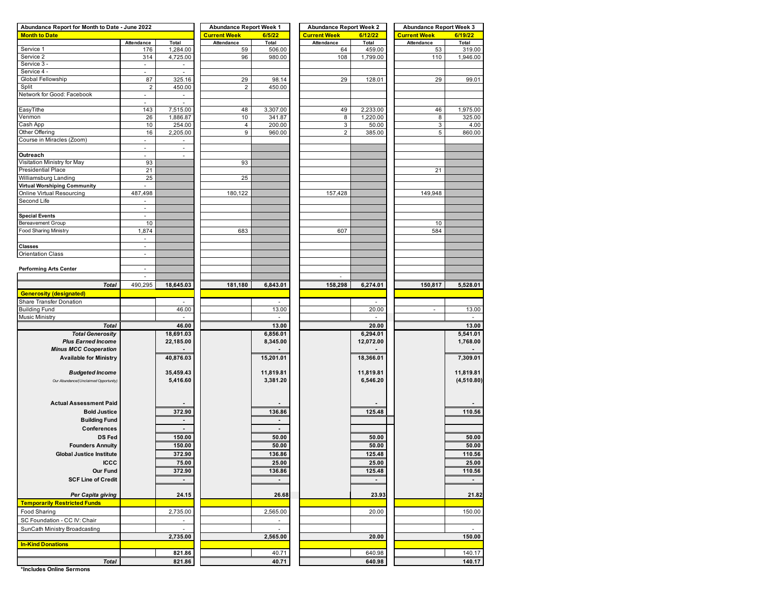| Abundance Report for Month to Date - June 2022 |                          |                          | <b>Abundance Report Week 1</b> |                          | <b>Abundance Report Week 2</b> |                | <b>Abundance Report Week 3</b> |                          |  |  |
|------------------------------------------------|--------------------------|--------------------------|--------------------------------|--------------------------|--------------------------------|----------------|--------------------------------|--------------------------|--|--|
| <b>Month to Date</b>                           |                          |                          | <b>Current Week</b>            | 6/5/22                   | <b>Current Week</b>            | 6/12/22        | <b>Current Week</b>            | 6/19/22                  |  |  |
|                                                | Attendance               | Total                    | Attendance                     | Total                    | Attendance                     | Total          | Attendance                     | Total                    |  |  |
| Service 1                                      | 176                      | 1,284.00                 | 59                             | 506.00                   | 64                             | 459.00         | 53                             | 319.00                   |  |  |
| Service 2                                      | 314                      | 4,725.00                 | 96                             | 980.00                   | 108                            | 1,799.00       | 110                            | 1,946.00                 |  |  |
| Service 3 -                                    | $\overline{\phantom{a}}$ | $\overline{\phantom{a}}$ |                                |                          |                                |                |                                |                          |  |  |
| Service 4 -                                    |                          | J.                       |                                |                          |                                |                |                                |                          |  |  |
| Global Fellowship                              | 87                       | 325.16                   | 29                             | 98.14                    | 29                             | 128.01         | 29                             | 99.01                    |  |  |
| Split                                          | $\sqrt{2}$               | 450.00                   | $\boldsymbol{2}$               | 450.00                   |                                |                |                                |                          |  |  |
| Network for Good: Facebook                     | $\overline{\phantom{a}}$ | ÷.                       |                                |                          |                                |                |                                |                          |  |  |
|                                                | ۰                        | $\sim$                   |                                |                          |                                |                |                                |                          |  |  |
| EasyTithe                                      | 143                      | 7,515.00                 | 48                             | 3,307.00                 | 49                             | 2,233.00       | 46                             | 1,975.00                 |  |  |
| Venmon                                         | 26                       | 1,886.87                 | 10                             | 341.87                   | 8                              | 1,220.00       | 8                              | 325.00                   |  |  |
| Cash App                                       | 10                       | 254.00                   | 4                              | 200.00                   | $\mathbf{3}$                   | 50.00          | 3                              | 4.00                     |  |  |
| Other Offering                                 | 16                       | 2,205.00                 | 9                              | 960.00                   | $\overline{2}$                 | 385.00         | 5                              | 860.00                   |  |  |
| Course in Miracles (Zoom)                      | ۰.                       | $\overline{\phantom{a}}$ |                                |                          |                                |                |                                |                          |  |  |
|                                                |                          |                          |                                |                          |                                |                |                                |                          |  |  |
| Outreach                                       | ä,                       | $\overline{\phantom{a}}$ |                                |                          |                                |                |                                |                          |  |  |
| Visitation Ministry for May                    | 93                       |                          | 93                             |                          |                                |                |                                |                          |  |  |
| Presidential Place                             | 21                       |                          |                                |                          |                                |                | 21                             |                          |  |  |
|                                                |                          |                          |                                |                          |                                |                |                                |                          |  |  |
| Williamsburg Landing                           | 25                       |                          | 25                             |                          |                                |                |                                |                          |  |  |
| Virtual Worshiping Community                   |                          |                          |                                |                          |                                |                |                                |                          |  |  |
| Online Virtual Resourcing                      | 487,498                  |                          | 180,122                        |                          | 157,428                        |                | 149,948                        |                          |  |  |
| Second Life                                    | ۰                        |                          |                                |                          |                                |                |                                |                          |  |  |
|                                                | ä,                       |                          |                                |                          |                                |                |                                |                          |  |  |
| <b>Special Events</b>                          | ٠                        |                          |                                |                          |                                |                |                                |                          |  |  |
| <b>Bereavement Group</b>                       | 10                       |                          |                                |                          |                                |                | 10                             |                          |  |  |
| <b>Food Sharing Ministry</b>                   | 1,874                    |                          | 683                            |                          | 607                            |                | 584                            |                          |  |  |
|                                                | $\overline{\phantom{a}}$ |                          |                                |                          |                                |                |                                |                          |  |  |
| Classes                                        |                          |                          |                                |                          |                                |                |                                |                          |  |  |
| <b>Orientation Class</b>                       | ä,                       |                          |                                |                          |                                |                |                                |                          |  |  |
|                                                |                          |                          |                                |                          |                                |                |                                |                          |  |  |
| <b>Performing Arts Center</b>                  | ÷.                       |                          |                                |                          |                                |                |                                |                          |  |  |
|                                                | $\overline{\phantom{a}}$ |                          |                                |                          |                                |                |                                |                          |  |  |
| <b>Total</b>                                   | 490,295                  | 18,645.03                | 181,180                        | 6,843.01                 | 158,298                        | 6,274.01       | 150,817                        | 5,528.01                 |  |  |
|                                                |                          |                          |                                |                          |                                |                |                                |                          |  |  |
| <b>Generosity (designated)</b>                 |                          |                          |                                |                          |                                |                |                                |                          |  |  |
| Share Transfer Donation                        |                          |                          |                                |                          |                                |                |                                |                          |  |  |
| <b>Building Fund</b>                           |                          | 46.00                    |                                | 13.00                    |                                | 20.00          | $\sim$                         | 13.00                    |  |  |
| Music Ministry                                 |                          |                          |                                |                          |                                |                |                                |                          |  |  |
| <b>Total</b>                                   |                          | 46.00                    |                                | 13.00                    |                                | 20.00          |                                | 13.00                    |  |  |
| <b>Total Generosity</b>                        |                          | 18,691.03                |                                | 6,856.01                 |                                | 6,294.01       |                                | 5,541.01                 |  |  |
| <b>Plus Earned Income</b>                      |                          | 22,185.00                |                                | 8,345.00                 |                                | 12,072.00      |                                | 1,768.00                 |  |  |
| <b>Minus MCC Cooperation</b>                   |                          |                          |                                |                          |                                |                |                                |                          |  |  |
| <b>Available for Ministry</b>                  |                          | 40,876.03                |                                | 15,201.01                |                                | 18,366.01      |                                | 7,309.01                 |  |  |
|                                                |                          |                          |                                |                          |                                |                |                                |                          |  |  |
| <b>Budgeted Income</b>                         |                          | 35,459.43                |                                | 11,819.81                |                                | 11,819.81      |                                | 11,819.81                |  |  |
| Our Abundance/(Unclaimed Opportunity)          |                          | 5,416.60                 |                                | 3,381.20                 |                                | 6,546.20       |                                | (4,510.80)               |  |  |
|                                                |                          |                          |                                |                          |                                |                |                                |                          |  |  |
|                                                |                          |                          |                                |                          |                                |                |                                |                          |  |  |
|                                                |                          |                          |                                |                          |                                |                |                                |                          |  |  |
| <b>Actual Assessment Paid</b>                  |                          |                          |                                |                          |                                |                |                                |                          |  |  |
| <b>Bold Justice</b>                            |                          | 372.90                   |                                | 136.86                   |                                | 125.48         |                                | 110.56                   |  |  |
| <b>Building Fund</b>                           |                          |                          |                                |                          |                                |                |                                |                          |  |  |
| Conferences                                    |                          | $\blacksquare$           |                                | $\overline{\phantom{a}}$ |                                |                |                                |                          |  |  |
| <b>DS Fed</b>                                  |                          | 150.00                   |                                | 50.00                    |                                | 50.00          |                                | 50.00                    |  |  |
|                                                |                          |                          |                                |                          |                                |                |                                |                          |  |  |
|                                                |                          |                          |                                |                          |                                |                |                                |                          |  |  |
| <b>Founders Annuity</b>                        |                          | 150.00                   |                                | 50.00                    |                                | 50.00          |                                | 50.00                    |  |  |
| <b>Global Justice Institute</b>                |                          | 372.90                   |                                | 136.86                   |                                | 125.48         |                                | 110.56                   |  |  |
| <b>ICCC</b>                                    |                          | 75.00                    |                                | 25.00                    |                                | 25.00          |                                | 25.00                    |  |  |
| Our Fund                                       |                          | 372.90                   |                                | 136.86                   |                                | 125.48         |                                | 110.56                   |  |  |
| <b>SCF Line of Credit</b>                      |                          | $\blacksquare$           |                                | $\blacksquare$           |                                | $\blacksquare$ |                                | $\overline{\phantom{a}}$ |  |  |
|                                                |                          |                          |                                |                          |                                |                |                                |                          |  |  |
|                                                |                          |                          |                                |                          |                                |                |                                |                          |  |  |
| Per Capita giving                              |                          | 24.15                    |                                | 26.68                    |                                | 23.93          |                                | 21.82                    |  |  |
| <b>Temporarily Restricted Funds</b>            |                          |                          |                                |                          |                                |                |                                |                          |  |  |
| Food Sharing                                   |                          | 2,735.00                 |                                | 2,565.00                 |                                | 20.00          |                                | 150.00                   |  |  |
| SC Foundation - CC IV: Chair                   |                          |                          |                                |                          |                                |                |                                |                          |  |  |
| SunCath Ministry Broadcasting                  |                          | $\omega$                 |                                | $\omega$                 |                                |                |                                | $\blacksquare$           |  |  |
|                                                |                          | 2,735.00                 |                                | 2,565.00                 |                                | 20.00          |                                | 150.00                   |  |  |
| <b>In-Kind Donations</b>                       |                          |                          |                                |                          |                                |                |                                |                          |  |  |
|                                                |                          | 821.86                   |                                | 40.71                    |                                | 640.98         |                                | 140.17                   |  |  |

**\*Includes Online Sermons**